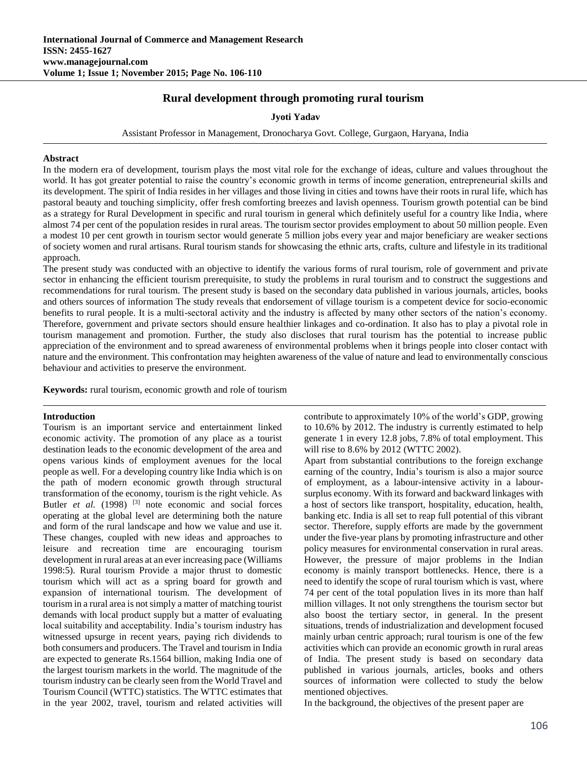# **Rural development through promoting rural tourism**

### **Jyoti Yadav**

Assistant Professor in Management, Dronocharya Govt. College, Gurgaon, Haryana, India

#### **Abstract**

In the modern era of development, tourism plays the most vital role for the exchange of ideas, culture and values throughout the world. It has got greater potential to raise the country's economic growth in terms of income generation, entrepreneurial skills and its development. The spirit of India resides in her villages and those living in cities and towns have their roots in rural life, which has pastoral beauty and touching simplicity, offer fresh comforting breezes and lavish openness. Tourism growth potential can be bind as a strategy for Rural Development in specific and rural tourism in general which definitely useful for a country like India, where almost 74 per cent of the population resides in rural areas. The tourism sector provides employment to about 50 million people. Even a modest 10 per cent growth in tourism sector would generate 5 million jobs every year and major beneficiary are weaker sections of society women and rural artisans. Rural tourism stands for showcasing the ethnic arts, crafts, culture and lifestyle in its traditional approach.

The present study was conducted with an objective to identify the various forms of rural tourism, role of government and private sector in enhancing the efficient tourism prerequisite, to study the problems in rural tourism and to construct the suggestions and recommendations for rural tourism. The present study is based on the secondary data published in various journals, articles, books and others sources of information The study reveals that endorsement of village tourism is a competent device for socio-economic benefits to rural people. It is a multi-sectoral activity and the industry is affected by many other sectors of the nation's economy. Therefore, government and private sectors should ensure healthier linkages and co-ordination. It also has to play a pivotal role in tourism management and promotion. Further, the study also discloses that rural tourism has the potential to increase public appreciation of the environment and to spread awareness of environmental problems when it brings people into closer contact with nature and the environment. This confrontation may heighten awareness of the value of nature and lead to environmentally conscious behaviour and activities to preserve the environment.

**Keywords:** rural tourism, economic growth and role of tourism

#### **Introduction**

Tourism is an important service and entertainment linked economic activity. The promotion of any place as a tourist destination leads to the economic development of the area and opens various kinds of employment avenues for the local people as well. For a developing country like India which is on the path of modern economic growth through structural transformation of the economy, tourism is the right vehicle. As Butler *et al.* (1998)  $[3]$  note economic and social forces operating at the global level are determining both the nature and form of the rural landscape and how we value and use it. These changes, coupled with new ideas and approaches to leisure and recreation time are encouraging tourism development in rural areas at an ever increasing pace (Williams 1998:5). Rural tourism Provide a major thrust to domestic tourism which will act as a spring board for growth and expansion of international tourism. The development of tourism in a rural area is not simply a matter of matching tourist demands with local product supply but a matter of evaluating local suitability and acceptability. India's tourism industry has witnessed upsurge in recent years, paying rich dividends to both consumers and producers. The Travel and tourism in India are expected to generate Rs.1564 billion, making India one of the largest tourism markets in the world. The magnitude of the tourism industry can be clearly seen from the World Travel and Tourism Council (WTTC) statistics. The WTTC estimates that in the year 2002, travel, tourism and related activities will contribute to approximately 10% of the world's GDP, growing to 10.6% by 2012. The industry is currently estimated to help generate 1 in every 12.8 jobs, 7.8% of total employment. This will rise to 8.6% by 2012 (WTTC 2002).

Apart from substantial contributions to the foreign exchange earning of the country, India's tourism is also a major source of employment, as a labour-intensive activity in a laboursurplus economy. With its forward and backward linkages with a host of sectors like transport, hospitality, education, health, banking etc. India is all set to reap full potential of this vibrant sector. Therefore, supply efforts are made by the government under the five-year plans by promoting infrastructure and other policy measures for environmental conservation in rural areas. However, the pressure of major problems in the Indian economy is mainly transport bottlenecks. Hence, there is a need to identify the scope of rural tourism which is vast, where 74 per cent of the total population lives in its more than half million villages. It not only strengthens the tourism sector but also boost the tertiary sector, in general. In the present situations, trends of industrialization and development focused mainly urban centric approach; rural tourism is one of the few activities which can provide an economic growth in rural areas of India. The present study is based on secondary data published in various journals, articles, books and others sources of information were collected to study the below mentioned objectives.

In the background, the objectives of the present paper are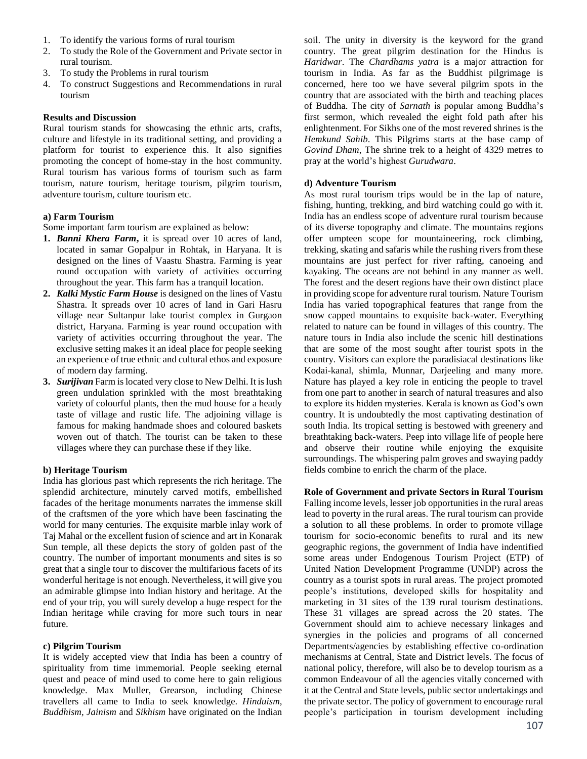- 1. To identify the various forms of rural tourism
- 2. To study the Role of the Government and Private sector in rural tourism.
- 3. To study the Problems in rural tourism
- 4. To construct Suggestions and Recommendations in rural tourism

### **Results and Discussion**

Rural tourism stands for showcasing the ethnic arts, crafts, culture and lifestyle in its traditional setting, and providing a platform for tourist to experience this. It also signifies promoting the concept of home-stay in the host community. Rural tourism has various forms of tourism such as farm tourism, nature tourism, heritage tourism, pilgrim tourism, adventure tourism, culture tourism etc.

## **a) Farm Tourism**

Some important farm tourism are explained as below:

- **1.** *Banni Khera Farm***,** it is spread over 10 acres of land, located in samar Gopalpur in Rohtak, in Haryana. It is designed on the lines of Vaastu Shastra. Farming is year round occupation with variety of activities occurring throughout the year. This farm has a tranquil location.
- **2.** *Kalki Mystic Farm House* is designed on the lines of Vastu Shastra. It spreads over 10 acres of land in Gari Hasru village near Sultanpur lake tourist complex in Gurgaon district, Haryana. Farming is year round occupation with variety of activities occurring throughout the year. The exclusive setting makes it an ideal place for people seeking an experience of true ethnic and cultural ethos and exposure of modern day farming.
- **3.** *Surijivan* Farm is located very close to New Delhi. It is lush green undulation sprinkled with the most breathtaking variety of colourful plants, then the mud house for a heady taste of village and rustic life. The adjoining village is famous for making handmade shoes and coloured baskets woven out of thatch. The tourist can be taken to these villages where they can purchase these if they like.

#### **b) Heritage Tourism**

India has glorious past which represents the rich heritage. The splendid architecture, minutely carved motifs, embellished facades of the heritage monuments narrates the immense skill of the craftsmen of the yore which have been fascinating the world for many centuries. The exquisite marble inlay work of Taj Mahal or the excellent fusion of science and art in Konarak Sun temple, all these depicts the story of golden past of the country. The number of important monuments and sites is so great that a single tour to discover the multifarious facets of its wonderful heritage is not enough. Nevertheless, it will give you an admirable glimpse into Indian history and heritage. At the end of your trip, you will surely develop a huge respect for the Indian heritage while craving for more such tours in near future.

#### **c) Pilgrim Tourism**

It is widely accepted view that India has been a country of spirituality from time immemorial. People seeking eternal quest and peace of mind used to come here to gain religious knowledge. Max Muller, Grearson, including Chinese travellers all came to India to seek knowledge. *Hinduism, Buddhism, Jainism* and *Sikhism* have originated on the Indian

soil. The unity in diversity is the keyword for the grand country. The great pilgrim destination for the Hindus is *Haridwar*. The *Chardhams yatra* is a major attraction for tourism in India. As far as the Buddhist pilgrimage is concerned, here too we have several pilgrim spots in the country that are associated with the birth and teaching places of Buddha. The city of *Sarnath* is popular among Buddha's first sermon, which revealed the eight fold path after his enlightenment. For Sikhs one of the most revered shrines is the *Hemkund Sahib*. This Pilgrims starts at the base camp of *Govind Dham*, The shrine trek to a height of 4329 metres to pray at the world's highest *Gurudwara*.

### **d) Adventure Tourism**

As most rural tourism trips would be in the lap of nature, fishing, hunting, trekking, and bird watching could go with it. India has an endless scope of adventure rural tourism because of its diverse topography and climate. The mountains regions offer umpteen scope for mountaineering, rock climbing, trekking, skating and safaris while the rushing rivers from these mountains are just perfect for river rafting, canoeing and kayaking. The oceans are not behind in any manner as well. The forest and the desert regions have their own distinct place in providing scope for adventure rural tourism. Nature Tourism India has varied topographical features that range from the snow capped mountains to exquisite back-water. Everything related to nature can be found in villages of this country. The nature tours in India also include the scenic hill destinations that are some of the most sought after tourist spots in the country. Visitors can explore the paradisiacal destinations like Kodai-kanal, shimla, Munnar, Darjeeling and many more. Nature has played a key role in enticing the people to travel from one part to another in search of natural treasures and also to explore its hidden mysteries. Kerala is known as God's own country. It is undoubtedly the most captivating destination of south India. Its tropical setting is bestowed with greenery and breathtaking back-waters. Peep into village life of people here and observe their routine while enjoying the exquisite surroundings. The whispering palm groves and swaying paddy fields combine to enrich the charm of the place.

**Role of Government and private Sectors in Rural Tourism** Falling income levels, lesser job opportunities in the rural areas lead to poverty in the rural areas. The rural tourism can provide a solution to all these problems. In order to promote village tourism for socio-economic benefits to rural and its new geographic regions, the government of India have indentified some areas under Endogenous Tourism Project (ETP) of United Nation Development Programme (UNDP) across the country as a tourist spots in rural areas. The project promoted people's institutions, developed skills for hospitality and marketing in 31 sites of the 139 rural tourism destinations. These 31 villages are spread across the 20 states. The Government should aim to achieve necessary linkages and synergies in the policies and programs of all concerned Departments/agencies by establishing effective co-ordination mechanisms at Central, State and District levels. The focus of national policy, therefore, will also be to develop tourism as a common Endeavour of all the agencies vitally concerned with it at the Central and State levels, public sector undertakings and the private sector. The policy of government to encourage rural people's participation in tourism development including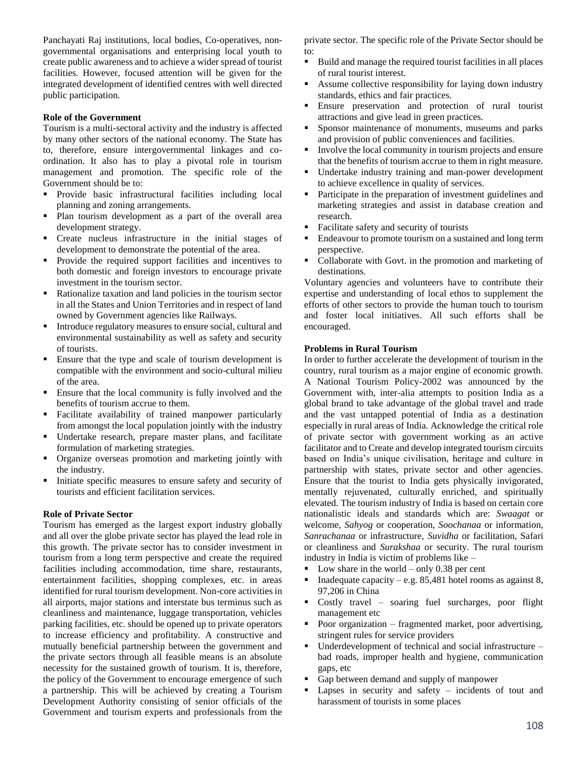Panchayati Raj institutions, local bodies, Co-operatives, nongovernmental organisations and enterprising local youth to create public awareness and to achieve a wider spread of tourist facilities. However, focused attention will be given for the integrated development of identified centres with well directed public participation*.* 

### **Role of the Government**

Tourism is a multi-sectoral activity and the industry is affected by many other sectors of the national economy. The State has to, therefore, ensure intergovernmental linkages and coordination. It also has to play a pivotal role in tourism management and promotion. The specific role of the Government should be to:

- Provide basic infrastructural facilities including local planning and zoning arrangements.
- Plan tourism development as a part of the overall area development strategy.
- Create nucleus infrastructure in the initial stages of development to demonstrate the potential of the area.
- Provide the required support facilities and incentives to both domestic and foreign investors to encourage private investment in the tourism sector.
- Rationalize taxation and land policies in the tourism sector in all the States and Union Territories and in respect of land owned by Government agencies like Railways.
- Introduce regulatory measures to ensure social, cultural and environmental sustainability as well as safety and security of tourists.
- Ensure that the type and scale of tourism development is compatible with the environment and socio-cultural milieu of the area.
- Ensure that the local community is fully involved and the benefits of tourism accrue to them.
- Facilitate availability of trained manpower particularly from amongst the local population jointly with the industry
- Undertake research, prepare master plans, and facilitate formulation of marketing strategies.
- Organize overseas promotion and marketing jointly with the industry.
- Initiate specific measures to ensure safety and security of tourists and efficient facilitation services.

## **Role of Private Sector**

Tourism has emerged as the largest export industry globally and all over the globe private sector has played the lead role in this growth. The private sector has to consider investment in tourism from a long term perspective and create the required facilities including accommodation, time share, restaurants, entertainment facilities, shopping complexes, etc. in areas identified for rural tourism development. Non-core activities in all airports, major stations and interstate bus terminus such as cleanliness and maintenance, luggage transportation, vehicles parking facilities, etc. should be opened up to private operators to increase efficiency and profitability. A constructive and mutually beneficial partnership between the government and the private sectors through all feasible means is an absolute necessity for the sustained growth of tourism. It is, therefore, the policy of the Government to encourage emergence of such a partnership. This will be achieved by creating a Tourism Development Authority consisting of senior officials of the Government and tourism experts and professionals from the

private sector. The specific role of the Private Sector should be to:

- Build and manage the required tourist facilities in all places of rural tourist interest.
- Assume collective responsibility for laying down industry standards, ethics and fair practices.
- Ensure preservation and protection of rural tourist attractions and give lead in green practices.
- Sponsor maintenance of monuments, museums and parks and provision of public conveniences and facilities.
- Involve the local community in tourism projects and ensure that the benefits of tourism accrue to them in right measure.
- Undertake industry training and man-power development to achieve excellence in quality of services.
- **Participate in the preparation of investment guidelines and** marketing strategies and assist in database creation and research.
- Facilitate safety and security of tourists
- Endeavour to promote tourism on a sustained and long term perspective.
- Collaborate with Govt. in the promotion and marketing of destinations.

Voluntary agencies and volunteers have to contribute their expertise and understanding of local ethos to supplement the efforts of other sectors to provide the human touch to tourism and foster local initiatives. All such efforts shall be encouraged.

### **Problems in Rural Tourism**

In order to further accelerate the development of tourism in the country, rural tourism as a major engine of economic growth. A National Tourism Policy-2002 was announced by the Government with, inter-alia attempts to position India as a global brand to take advantage of the global travel and trade and the vast untapped potential of India as a destination especially in rural areas of India. Acknowledge the critical role of private sector with government working as an active facilitator and to Create and develop integrated tourism circuits based on India's unique civilisation, heritage and culture in partnership with states, private sector and other agencies. Ensure that the tourist to India gets physically invigorated, mentally rejuvenated, culturally enriched, and spiritually elevated. The tourism industry of India is based on certain core nationalistic ideals and standards which are: *Swaagat* or welcome, *Sahyog* or cooperation, *Soochanaa* or information, *Sanrachanaa* or infrastructure, *Suvidha* or facilitation, Safari or cleanliness and *Surakshaa* or security. The rural tourism industry in India is victim of problems like –

- Low share in the world only 0.38 per cent
- Inadequate capacity e.g. 85,481 hotel rooms as against 8, 97,206 in China
- Costly travel soaring fuel surcharges, poor flight management etc
- Poor organization fragmented market, poor advertising, stringent rules for service providers
- Underdevelopment of technical and social infrastructure bad roads, improper health and hygiene, communication gaps, etc
- Gap between demand and supply of manpower
- **Lapses** in security and safety incidents of tout and harassment of tourists in some places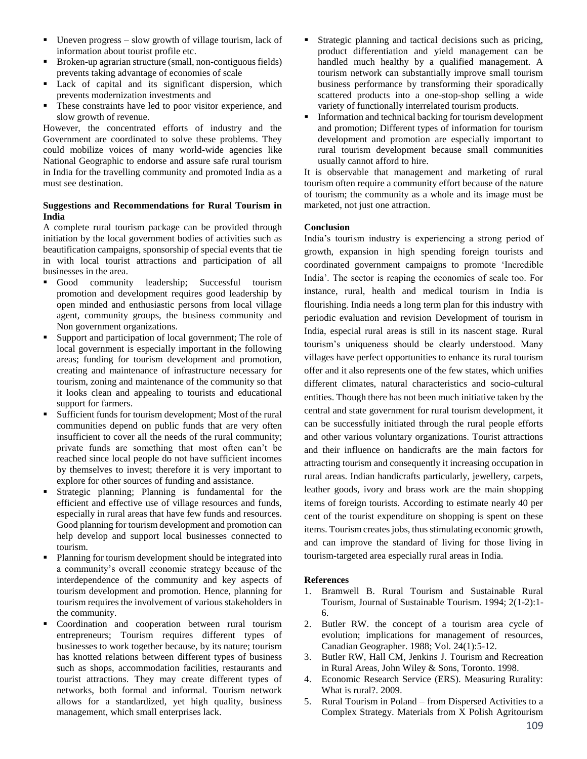- $\blacksquare$  Uneven progress slow growth of village tourism, lack of information about tourist profile etc.
- Broken-up agrarian structure (small, non-contiguous fields) prevents taking advantage of economies of scale
- Lack of capital and its significant dispersion, which prevents modernization investments and
- These constraints have led to poor visitor experience, and slow growth of revenue.

However, the concentrated efforts of industry and the Government are coordinated to solve these problems. They could mobilize voices of many world-wide agencies like National Geographic to endorse and assure safe rural tourism in India for the travelling community and promoted India as a must see destination.

## **Suggestions and Recommendations for Rural Tourism in India**

A complete rural tourism package can be provided through initiation by the local government bodies of activities such as beautification campaigns, sponsorship of special events that tie in with local tourist attractions and participation of all businesses in the area.

- Good community leadership; Successful tourism promotion and development requires good leadership by open minded and enthusiastic persons from local village agent, community groups, the business community and Non government organizations.
- Support and participation of local government; The role of local government is especially important in the following areas; funding for tourism development and promotion, creating and maintenance of infrastructure necessary for tourism, zoning and maintenance of the community so that it looks clean and appealing to tourists and educational support for farmers.
- Sufficient funds for tourism development; Most of the rural communities depend on public funds that are very often insufficient to cover all the needs of the rural community; private funds are something that most often can't be reached since local people do not have sufficient incomes by themselves to invest; therefore it is very important to explore for other sources of funding and assistance.
- Strategic planning; Planning is fundamental for the efficient and effective use of village resources and funds, especially in rural areas that have few funds and resources. Good planning for tourism development and promotion can help develop and support local businesses connected to tourism.
- Planning for tourism development should be integrated into a community's overall economic strategy because of the interdependence of the community and key aspects of tourism development and promotion. Hence, planning for tourism requires the involvement of various stakeholders in the community.
- Coordination and cooperation between rural tourism entrepreneurs; Tourism requires different types of businesses to work together because, by its nature; tourism has knotted relations between different types of business such as shops, accommodation facilities, restaurants and tourist attractions. They may create different types of networks, both formal and informal. Tourism network allows for a standardized, yet high quality, business management, which small enterprises lack.
- Strategic planning and tactical decisions such as pricing, product differentiation and yield management can be handled much healthy by a qualified management. A tourism network can substantially improve small tourism business performance by transforming their sporadically scattered products into a one-stop-shop selling a wide variety of functionally interrelated tourism products.
- Information and technical backing for tourism development and promotion; Different types of information for tourism development and promotion are especially important to rural tourism development because small communities usually cannot afford to hire.

It is observable that management and marketing of rural tourism often require a community effort because of the nature of tourism; the community as a whole and its image must be marketed, not just one attraction.

### **Conclusion**

India's tourism industry is experiencing a strong period of growth, expansion in high spending foreign tourists and coordinated government campaigns to promote 'Incredible India'. The sector is reaping the economies of scale too. For instance, rural, health and medical tourism in India is flourishing. India needs a long term plan for this industry with periodic evaluation and revision Development of tourism in India, especial rural areas is still in its nascent stage. Rural tourism's uniqueness should be clearly understood. Many villages have perfect opportunities to enhance its rural tourism offer and it also represents one of the few states, which unifies different climates, natural characteristics and socio-cultural entities. Though there has not been much initiative taken by the central and state government for rural tourism development, it can be successfully initiated through the rural people efforts and other various voluntary organizations. Tourist attractions and their influence on handicrafts are the main factors for attracting tourism and consequently it increasing occupation in rural areas. Indian handicrafts particularly, jewellery, carpets, leather goods, ivory and brass work are the main shopping items of foreign tourists. According to estimate nearly 40 per cent of the tourist expenditure on shopping is spent on these items. Tourism creates jobs, thus stimulating economic growth, and can improve the standard of living for those living in tourism-targeted area especially rural areas in India.

#### **References**

- 1. Bramwell B. Rural Tourism and Sustainable Rural Tourism, Journal of Sustainable Tourism. 1994; 2(1-2):1- 6.
- 2. Butler RW. the concept of a tourism area cycle of evolution; implications for management of resources, Canadian Geographer. 1988; Vol. 24(1):5-12.
- 3. Butler RW, Hall CM, Jenkins J. Tourism and Recreation in Rural Areas, John Wiley & Sons, Toronto. 1998.
- 4. Economic Research Service (ERS). Measuring Rurality: What is rural?. 2009.
- 5. Rural Tourism in Poland from Dispersed Activities to a Complex Strategy. Materials from X Polish Agritourism